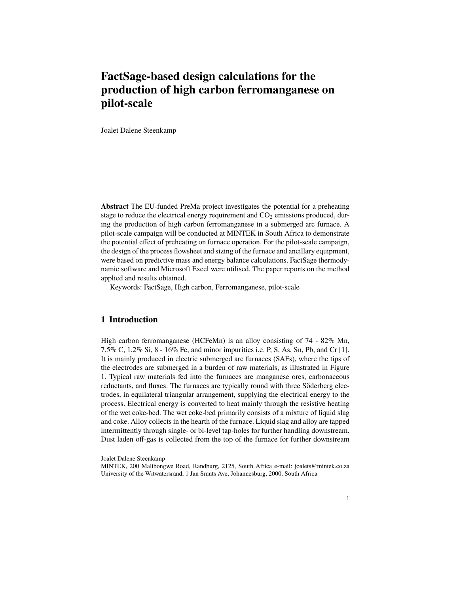# **FactSage-based design calculations for the production of high carbon ferromanganese on pilot-scale**

Joalet Dalene Steenkamp

**Abstract** The EU-funded PreMa project investigates the potential for a preheating stage to reduce the electrical energy requirement and  $CO<sub>2</sub>$  emissions produced, during the production of high carbon ferromanganese in a submerged arc furnace. A pilot-scale campaign will be conducted at MINTEK in South Africa to demonstrate the potential effect of preheating on furnace operation. For the pilot-scale campaign, the design of the process flowsheet and sizing of the furnace and ancillary equipment, were based on predictive mass and energy balance calculations. FactSage thermodynamic software and Microsoft Excel were utilised. The paper reports on the method applied and results obtained.

Keywords: FactSage, High carbon, Ferromanganese, pilot-scale

# **1 Introduction**

High carbon ferromanganese (HCFeMn) is an alloy consisting of 74 - 82% Mn, 7.5% C, 1.2% Si, 8 - 16% Fe, and minor impurities i.e. P, S, As, Sn, Pb, and Cr [1]. It is mainly produced in electric submerged arc furnaces (SAFs), where the tips of the electrodes are submerged in a burden of raw materials, as illustrated in Figure 1. Typical raw materials fed into the furnaces are manganese ores, carbonaceous reductants, and fluxes. The furnaces are typically round with three Söderberg electrodes, in equilateral triangular arrangement, supplying the electrical energy to the process. Electrical energy is converted to heat mainly through the resistive heating of the wet coke-bed. The wet coke-bed primarily consists of a mixture of liquid slag and coke. Alloy collects in the hearth of the furnace. Liquid slag and alloy are tapped intermittently through single- or bi-level tap-holes for further handling downstream. Dust laden off-gas is collected from the top of the furnace for further downstream

Joalet Dalene Steenkamp

MINTEK, 200 Malibongwe Road, Randburg, 2125, South Africa e-mail: joalets@mintek.co.za University of the Witwatersrand, 1 Jan Smuts Ave, Johannesburg, 2000, South Africa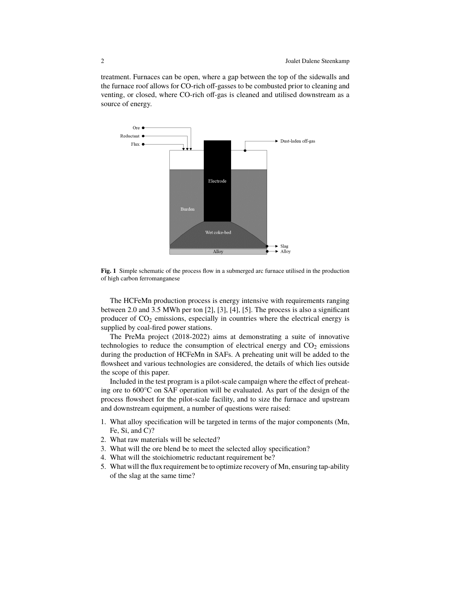treatment. Furnaces can be open, where a gap between the top of the sidewalls and the furnace roof allows for CO-rich off-gasses to be combusted prior to cleaning and venting, or closed, where CO-rich off-gas is cleaned and utilised downstream as a source of energy.



**Fig. 1** Simple schematic of the process flow in a submerged arc furnace utilised in the production of high carbon ferromanganese

The HCFeMn production process is energy intensive with requirements ranging between 2.0 and 3.5 MWh per ton [2], [3], [4], [5]. The process is also a significant producer of  $CO<sub>2</sub>$  emissions, especially in countries where the electrical energy is supplied by coal-fired power stations.

The PreMa project (2018-2022) aims at demonstrating a suite of innovative technologies to reduce the consumption of electrical energy and  $CO<sub>2</sub>$  emissions during the production of HCFeMn in SAFs. A preheating unit will be added to the flowsheet and various technologies are considered, the details of which lies outside the scope of this paper.

Included in the test program is a pilot-scale campaign where the effect of preheating ore to 600°C on SAF operation will be evaluated. As part of the design of the process flowsheet for the pilot-scale facility, and to size the furnace and upstream and downstream equipment, a number of questions were raised:

- 1. What alloy specification will be targeted in terms of the major components (Mn, Fe, Si, and C)?
- 2. What raw materials will be selected?
- 3. What will the ore blend be to meet the selected alloy specification?
- 4. What will the stoichiometric reductant requirement be?
- 5. What will the flux requirement be to optimize recovery of Mn, ensuring tap-ability of the slag at the same time?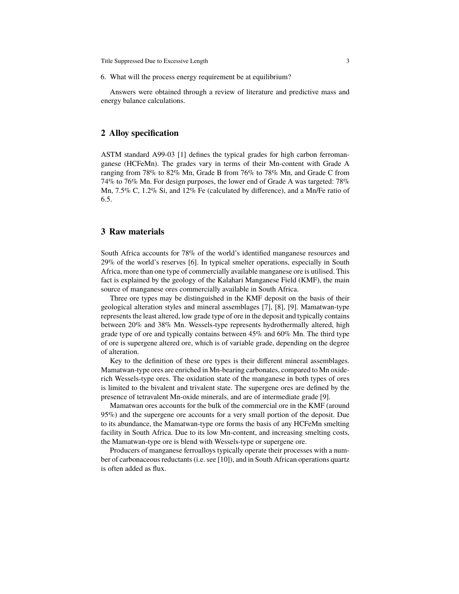Title Suppressed Due to Excessive Length 3

6. What will the process energy requirement be at equilibrium?

Answers were obtained through a review of literature and predictive mass and energy balance calculations.

## **2 Alloy specification**

ASTM standard A99-03 [1] defines the typical grades for high carbon ferromanganese (HCFeMn). The grades vary in terms of their Mn-content with Grade A ranging from 78% to 82% Mn, Grade B from 76% to 78% Mn, and Grade C from 74% to 76% Mn. For design purposes, the lower end of Grade A was targeted: 78% Mn, 7.5% C, 1.2% Si, and 12% Fe (calculated by difference), and a Mn/Fe ratio of 6.5.

## **3 Raw materials**

South Africa accounts for 78% of the world's identified manganese resources and 29% of the world's reserves [6]. In typical smelter operations, especially in South Africa, more than one type of commercially available manganese ore is utilised. This fact is explained by the geology of the Kalahari Manganese Field (KMF), the main source of manganese ores commercially available in South Africa.

Three ore types may be distinguished in the KMF deposit on the basis of their geological alteration styles and mineral assemblages [7], [8], [9]. Mamatwan-type represents the least altered, low grade type of ore in the deposit and typically contains between 20% and 38% Mn. Wessels-type represents hydrothermally altered, high grade type of ore and typically contains between 45% and 60% Mn. The third type of ore is supergene altered ore, which is of variable grade, depending on the degree of alteration.

Key to the definition of these ore types is their different mineral assemblages. Mamatwan-type ores are enriched in Mn-bearing carbonates, compared to Mn oxiderich Wessels-type ores. The oxidation state of the manganese in both types of ores is limited to the bivalent and trivalent state. The supergene ores are defined by the presence of tetravalent Mn-oxide minerals, and are of intermediate grade [9].

Mamatwan ores accounts for the bulk of the commercial ore in the KMF (around 95%) and the supergene ore accounts for a very small portion of the deposit. Due to its abundance, the Mamatwan-type ore forms the basis of any HCFeMn smelting facility in South Africa. Due to its low Mn-content, and increasing smelting costs, the Mamatwan-type ore is blend with Wessels-type or supergene ore.

Producers of manganese ferroalloys typically operate their processes with a number of carbonaceous reductants (i.e. see [10]), and in South African operations quartz is often added as flux.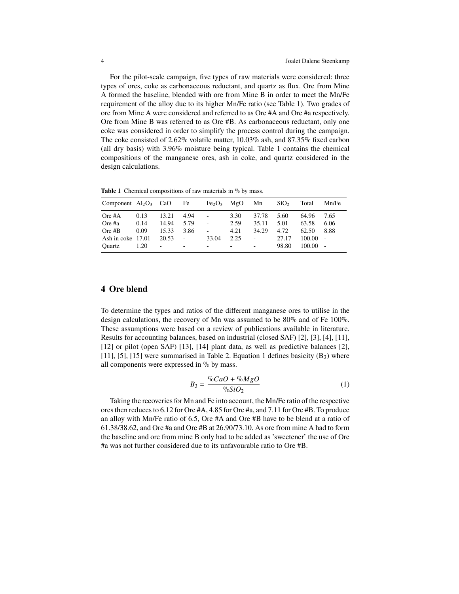For the pilot-scale campaign, five types of raw materials were considered: three types of ores, coke as carbonaceous reductant, and quartz as flux. Ore from Mine A formed the baseline, blended with ore from Mine B in order to meet the Mn/Fe requirement of the alloy due to its higher Mn/Fe ratio (see Table 1). Two grades of ore from Mine A were considered and referred to as Ore #A and Ore #a respectively. Ore from Mine B was referred to as Ore #B. As carbonaceous reductant, only one coke was considered in order to simplify the process control during the campaign. The coke consisted of 2.62% volatile matter, 10.03% ash, and 87.35% fixed carbon (all dry basis) with 3.96% moisture being typical. Table 1 contains the chemical compositions of the manganese ores, ash in coke, and quartz considered in the design calculations.

Table 1 Chemical compositions of raw materials in % by mass.

| Component $Al_2O_3$ CaO |      |       | Fe                       | Fe <sub>2</sub> O <sub>3</sub> | MgO                      | Mn                | SiO <sub>2</sub> | Total  | Mn/Fe |
|-------------------------|------|-------|--------------------------|--------------------------------|--------------------------|-------------------|------------------|--------|-------|
| Ore $#A$                | 0.13 | 13.21 | 4.94                     | ä,                             | 3.30                     | 37.78             | 5.60             | 64.96  | 7.65  |
| Ore #a                  | 0.14 | 14.94 | 5.79                     | ä,                             | 2.59                     | 35.11             | 5.01             | 63.58  | 6.06  |
| Ore $#B$                | 0.09 | 15.33 | 3.86                     | ÷,                             | 4.21                     | 34.29             | 4.72             | 62.50  | 8.88  |
| Ash in coke 17.01       |      | 20.53 | ÷.                       | 33.04                          | 2.25                     | $\qquad \qquad -$ | 27.17            | 100.00 | ÷,    |
| Ouartz                  | 1.20 | -     | $\overline{\phantom{0}}$ | $\overline{\phantom{a}}$       | $\overline{\phantom{0}}$ | ٠                 | 98.80            | 100.00 | ÷,    |

## **4 Ore blend**

To determine the types and ratios of the different manganese ores to utilise in the design calculations, the recovery of Mn was assumed to be 80% and of Fe 100%. These assumptions were based on a review of publications available in literature. Results for accounting balances, based on industrial (closed SAF) [2], [3], [4], [11], [12] or pilot (open SAF) [13], [14] plant data, as well as predictive balances [2], [11], [5], [15] were summarised in Table 2. Equation 1 defines basicity  $(B_3)$  where all components were expressed in  $\%$  by mass.

$$
B_3 = \frac{\%CaO + \%MgO}{\%SiO_2} \tag{1}
$$

Taking the recoveries for Mn and Fe into account, the Mn/Fe ratio of the respective ores then reduces to 6.12 for Ore #A, 4.85 for Ore #a, and 7.11 for Ore #B. To produce an alloy with Mn/Fe ratio of 6.5, Ore #A and Ore #B have to be blend at a ratio of 61.38/38.62, and Ore #a and Ore #B at 26.90/73.10. As ore from mine A had to form the baseline and ore from mine B only had to be added as 'sweetener' the use of Ore #a was not further considered due to its unfavourable ratio to Ore #B.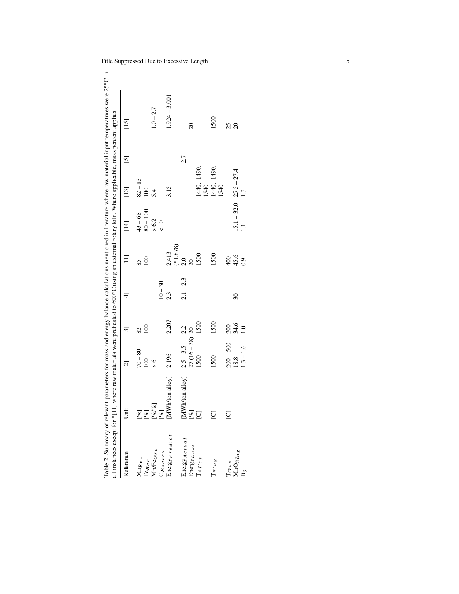| all instances except for *[11]                                                                                | ] where raw materials were preheated to 600°C using an external rotary kiln. Where applicable, mass percent applies                                                                                                                                                                                                                                                                                                                                                                                                                                                                                                                                                                                                                                                                                                   |                  |                |                |                      |                         |                             |                                   | Table 2 Summary of relevant parameters for mass and energy balance calculations mentioned in literature where raw material input temperatures were 25°C in |
|---------------------------------------------------------------------------------------------------------------|-----------------------------------------------------------------------------------------------------------------------------------------------------------------------------------------------------------------------------------------------------------------------------------------------------------------------------------------------------------------------------------------------------------------------------------------------------------------------------------------------------------------------------------------------------------------------------------------------------------------------------------------------------------------------------------------------------------------------------------------------------------------------------------------------------------------------|------------------|----------------|----------------|----------------------|-------------------------|-----------------------------|-----------------------------------|------------------------------------------------------------------------------------------------------------------------------------------------------------|
| Reference                                                                                                     | Unit                                                                                                                                                                                                                                                                                                                                                                                                                                                                                                                                                                                                                                                                                                                                                                                                                  | $\boxed{2}$      | $\boxed{3}$    | $\overline{4}$ | $\Xi$                | $[14]$                  | $[13]$                      | $\begin{bmatrix} 5 \end{bmatrix}$ | $[15]$                                                                                                                                                     |
| $\ensuremath{\mathsf{M}}\xspace$ n <sub>Rec</sub><br>$\rm Fe_{Rec}$                                           | $[\%]$<br>$[\%] % \begin{center} % \includegraphics[width=\textwidth]{figures/fig_10.pdf} \end{center} % \vspace{-1em} \caption{The figure shows the \textit{Stab} model. % \label{fig:Stab}$                                                                                                                                                                                                                                                                                                                                                                                                                                                                                                                                                                                                                         | $70 - 80$<br>100 | $^{100}$<br>82 |                | $\overline{8}$<br>85 | $80 - 100$<br>$43 - 68$ | $82 - 83$<br>100            |                                   |                                                                                                                                                            |
| $\ensuremath{\mathsf{MnFe}}$ $\ensuremath{\mathsf{O}}$ $\ensuremath{\mathsf{r}}$<br>$\ensuremath{\mathsf{e}}$ | $[\% \sqrt{\%}]$                                                                                                                                                                                                                                                                                                                                                                                                                                                                                                                                                                                                                                                                                                                                                                                                      | $\frac{6}{1}$    |                |                |                      | $> 6.2$                 | 5.4                         |                                   | $1.0 - 2.7$                                                                                                                                                |
| CExcess                                                                                                       | $[\%] % \begin{center} % \includegraphics[width=\textwidth]{images/Traj_4.png} % \end{center} % \caption{The first two different values of the parameter $\Sigma$ and $\Delta$ are the same as in Figure~\ref{fig:map}(a) and the first two different values of the parameter $\Sigma$ and $\Delta$ are the same as in Figure~\ref{fig:map}(b) and the second two different values of the parameter $\Sigma$ and $\Delta$ are the same as in Figure~\ref{fig:map}(c) and the second two different values of the parameter $\Sigma$ and $\Delta$ are the same as in Figure~\ref{fig:map}(d) and the third two different values of the parameter $\Sigma$ and $\Delta$ are the same as in Figure~\ref{fig:map}(e) and the third two different values of the parameter $\Sigma$ and $\Delta$ are the same as inFigure~\$ |                  |                | $10 - 30$      |                      | $\frac{10}{10}$         |                             |                                   |                                                                                                                                                            |
| Energy Predict                                                                                                | $MWh$ ton alloy] $2.196$                                                                                                                                                                                                                                                                                                                                                                                                                                                                                                                                                                                                                                                                                                                                                                                              |                  | 2.207          | 2.3            | $(*1.878)$<br>2.413  |                         | 3.15                        |                                   | $1.924 - 3.001$                                                                                                                                            |
| Energy Actual                                                                                                 | [MWh/ton alloy]                                                                                                                                                                                                                                                                                                                                                                                                                                                                                                                                                                                                                                                                                                                                                                                                       | $2.5 - 3.5$      | 2.2            | $2.1 - 2.3$    | $\overline{2.0}$     |                         |                             | 2.7                               |                                                                                                                                                            |
| Energy Lost                                                                                                   | $[% \begin{matrix} \mathcal{A}_{\mathcal{A}} & \mathcal{A}_{\mathcal{A}} \\ \mathcal{A}_{\mathcal{A}} & \mathcal{A}_{\mathcal{A}} \end{matrix} \bigr]$                                                                                                                                                                                                                                                                                                                                                                                                                                                                                                                                                                                                                                                                | $27(16-38)$ 20   |                |                |                      |                         |                             |                                   | $\overline{20}$                                                                                                                                            |
| $T_{AIloy}$                                                                                                   | $\overline{C}$                                                                                                                                                                                                                                                                                                                                                                                                                                                                                                                                                                                                                                                                                                                                                                                                        | 1500             | 1500           |                | 1500                 |                         | 1440, 1490,<br>1540         |                                   |                                                                                                                                                            |
| $I_{Slag}$                                                                                                    | $\overline{\text{C}}$                                                                                                                                                                                                                                                                                                                                                                                                                                                                                                                                                                                                                                                                                                                                                                                                 | 1500             | 1500           |                | 1500                 |                         | 1440, 1490,<br>1540         |                                   | 1500                                                                                                                                                       |
| $T_{Gas}$                                                                                                     | $\overline{\circ}$                                                                                                                                                                                                                                                                                                                                                                                                                                                                                                                                                                                                                                                                                                                                                                                                    | $200 - 500$      | 200            |                | 400                  |                         |                             |                                   | 25                                                                                                                                                         |
| $MnOS$ $Ia$ g                                                                                                 |                                                                                                                                                                                                                                                                                                                                                                                                                                                                                                                                                                                                                                                                                                                                                                                                                       | 18.8             | 34.6           | $30\,$         | 45.6                 |                         | $15.1 - 32.0$ $25.5 - 27.4$ |                                   | $\overline{c}$                                                                                                                                             |
| B <sub>3</sub>                                                                                                |                                                                                                                                                                                                                                                                                                                                                                                                                                                                                                                                                                                                                                                                                                                                                                                                                       | $1.3 - 1.6$      | $\ddot{=}$     |                | $\ddot{0}$ .         | $\overline{1}$          | $\frac{13}{2}$              |                                   |                                                                                                                                                            |
|                                                                                                               |                                                                                                                                                                                                                                                                                                                                                                                                                                                                                                                                                                                                                                                                                                                                                                                                                       |                  |                |                |                      |                         |                             |                                   |                                                                                                                                                            |

Title Suppressed Due to Excessive Length 5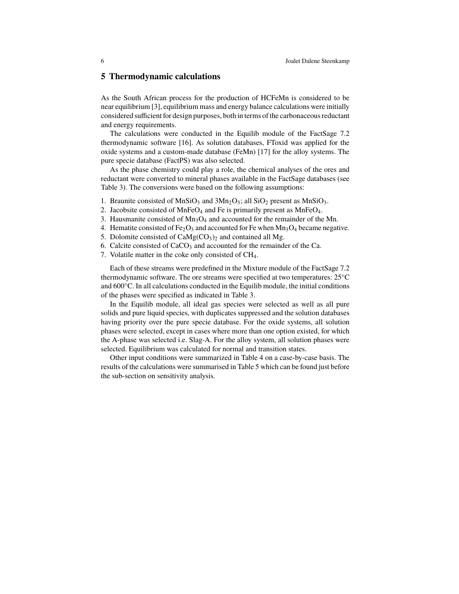## **5 Thermodynamic calculations**

As the South African process for the production of HCFeMn is considered to be near equilibrium [3], equilibrium mass and energy balance calculations were initially considered sufficient for design purposes, both in terms of the carbonaceous reductant and energy requirements.

The calculations were conducted in the Equilib module of the FactSage 7.2 thermodynamic software [16]. As solution databases, FToxid was applied for the oxide systems and a custom-made database (FeMn) [17] for the alloy systems. The pure specie database (FactPS) was also selected.

As the phase chemistry could play a role, the chemical analyses of the ores and reductant were converted to mineral phases available in the FactSage databases (see Table 3). The conversions were based on the following assumptions:

- 1. Braunite consisted of  $MnSiO<sub>3</sub>$  and  $3Mn<sub>2</sub>O<sub>3</sub>$ ; all  $SiO<sub>2</sub>$  present as  $MnSiO<sub>3</sub>$ .
- 2. Jacobsite consisted of MnFe $O_4$  and Fe is primarily present as MnFe $O_4$ .
- 3. Hausmanite consisted of  $Mn_3O_4$  and accounted for the remainder of the Mn.
- 4. Hematite consisted of  $Fe<sub>2</sub>O<sub>3</sub>$  and accounted for Fe when  $Mn<sub>3</sub>O<sub>4</sub>$  became negative.
- 5. Dolomite consisted of  $CaMg(CO<sub>3</sub>)<sub>2</sub>$  and contained all Mg.
- 6. Calcite consisted of  $CaCO<sub>3</sub>$  and accounted for the remainder of the Ca.
- 7. Volatile matter in the coke only consisted of CH4.

Each of these streams were predefined in the Mixture module of the FactSage 7.2 thermodynamic software. The ore streams were specified at two temperatures: 25°C and 600°C. In all calculations conducted in the Equilib module, the initial conditions of the phases were specified as indicated in Table 3.

In the Equilib module, all ideal gas species were selected as well as all pure solids and pure liquid species, with duplicates suppressed and the solution databases having priority over the pure specie database. For the oxide systems, all solution phases were selected, except in cases where more than one option existed, for which the A-phase was selected i.e. Slag-A. For the alloy system, all solution phases were selected. Equilibrium was calculated for normal and transition states.

Other input conditions were summarized in Table 4 on a case-by-case basis. The results of the calculations were summarised in Table 5 which can be found just before the sub-section on sensitivity analysis.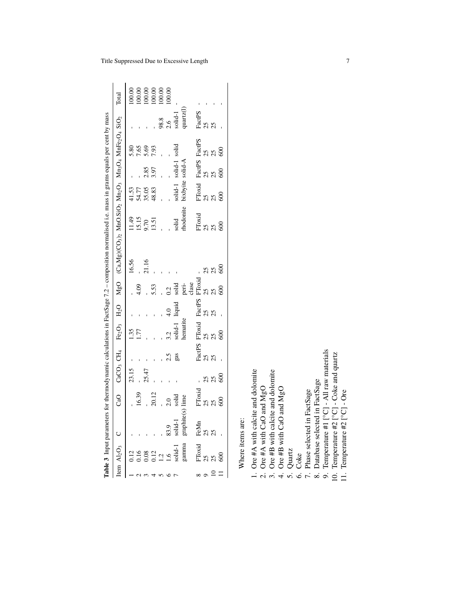|                                                                                                                         |                                                                                                                                                                                                                                                                       | 00.00 | 100.00 | $\frac{100.00}{100.00}$          |              | 100.00             | 100.00          |               |                         |        |    |                                                                                           |  |
|-------------------------------------------------------------------------------------------------------------------------|-----------------------------------------------------------------------------------------------------------------------------------------------------------------------------------------------------------------------------------------------------------------------|-------|--------|----------------------------------|--------------|--------------------|-----------------|---------------|-------------------------|--------|----|-------------------------------------------------------------------------------------------|--|
|                                                                                                                         | Total                                                                                                                                                                                                                                                                 |       |        |                                  |              |                    |                 |               |                         |        |    |                                                                                           |  |
|                                                                                                                         |                                                                                                                                                                                                                                                                       |       |        |                                  |              | $\frac{98.8}{2.6}$ |                 | solid-1       | quartz(1                | FactPS | 25 |                                                                                           |  |
|                                                                                                                         |                                                                                                                                                                                                                                                                       |       |        | 5.86<br>7.93<br>7.93             |              |                    |                 |               |                         |        |    | FactPS FactPS<br>25 25<br>25 25<br>600 600                                                |  |
|                                                                                                                         |                                                                                                                                                                                                                                                                       |       |        |                                  | 2.85<br>3.97 |                    |                 | solid-1 solid | solid-A                 |        |    |                                                                                           |  |
|                                                                                                                         |                                                                                                                                                                                                                                                                       |       |        | 41.53<br>54.77<br>58.83<br>48.83 |              |                    |                 | solid-1       | bixbyite                |        |    | FToxid<br>25<br>600                                                                       |  |
|                                                                                                                         |                                                                                                                                                                                                                                                                       |       |        | 11.49<br>15.15<br>13.51<br>13.51 |              |                    |                 | solid         | rhodonite               |        |    | FToxid<br>25<br>600                                                                       |  |
| ters for thermodynamic calculations in FactSage 7.2 - composition normalised i.e. mass in grams equals per cent by mass | CaO CaCO <sub>3</sub> CH <sub>4</sub> Fe <sub>2</sub> O <sub>3</sub> H <sub>2</sub> O MgO (Ca,Mg)(CO <sub>3</sub> ) <sub>2</sub> MnO.SiO <sub>2</sub> Mn <sub>2</sub> O <sub>3</sub> Mn <sub>3</sub> O <sub>4</sub> MnFe <sub>2</sub> O <sub>4</sub> SiO <sub>2</sub> | 16.56 |        | 21.16                            |              |                    |                 |               |                         |        |    |                                                                                           |  |
|                                                                                                                         |                                                                                                                                                                                                                                                                       |       | 4.09   |                                  | 5.53         |                    | 0.2             |               | solid<br>peri-<br>clase |        |    |                                                                                           |  |
|                                                                                                                         |                                                                                                                                                                                                                                                                       |       |        |                                  |              |                    | $\frac{4.0}{4}$ | liquid        |                         |        |    |                                                                                           |  |
|                                                                                                                         |                                                                                                                                                                                                                                                                       | 1.35  | 1.77   |                                  |              |                    | 3.2             | solid-1       | hematite                |        |    | FacePS FToxid FacePS FToxid -<br>25 25 25 25 2<br>25 25 25 2<br>25 25 25 2<br>600 - 600 6 |  |
|                                                                                                                         |                                                                                                                                                                                                                                                                       |       |        |                                  |              |                    |                 | $2.5$<br>gas  |                         |        |    |                                                                                           |  |
|                                                                                                                         |                                                                                                                                                                                                                                                                       | 23.15 |        | 25.47                            |              |                    |                 |               |                         |        |    | 388                                                                                       |  |
|                                                                                                                         |                                                                                                                                                                                                                                                                       |       | 16.39  |                                  | 20.12        |                    | $\overline{c}$  | solid         | te(s) lime              | FToxid | 25 | $\frac{25}{600}$                                                                          |  |
|                                                                                                                         |                                                                                                                                                                                                                                                                       |       |        |                                  |              |                    |                 |               |                         |        |    | Fe <b>Mn</b><br>ಏ ಏ<br>ಏ                                                                  |  |
|                                                                                                                         | Table 3 Inpurparameter<br>Item Al <sub>2</sub> O <sub>3</sub> C<br>1 0.12<br>2 0.16<br>4 0.12<br>5 1.2<br>5 1.2<br>5 1.2<br>6 1.6 83.9<br>7 solid-1 solid-1<br>7 solid-1                                                                                              |       |        |                                  |              |                    |                 |               |                         |        |    | FToxid<br>$25$<br>$25$<br>$600$                                                           |  |
|                                                                                                                         |                                                                                                                                                                                                                                                                       |       |        |                                  |              |                    |                 |               |                         |        |    | $\circ$ $\approx$ $\approx$                                                               |  |

Where items are: Where items are: 1. Ore #A with calcite and dolomite

2. Ore #A with CaO and  $MgO$ <br>  $\therefore$   $\therefore$   $\therefore$   $\therefore$ 

3. Ore #B with calcite and dolomite

4. Ore #B with CaO and MgO  $\epsilon$ 

5. Quartz 6. Coke

7. Phase selected in FactSage

8. Database selected in FactSage

9. Temperature #1 [°C] - All raw materials 10. Temperature #2 [°C] - Coke and quartz

11. Temperature #2 [°C] - Ore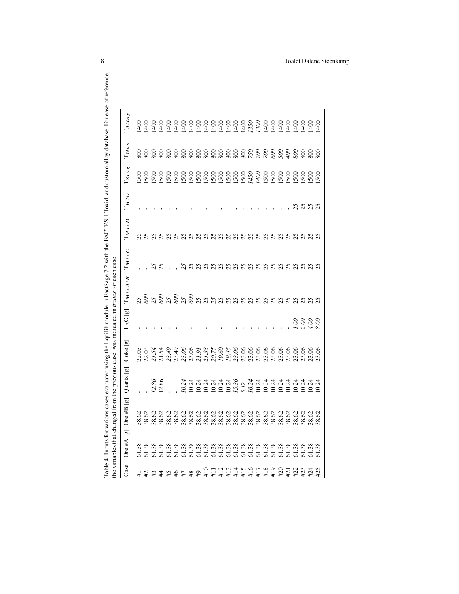|      | the variables that changed |                                         |                       |             |                           | from the previous case, was indicated in <i>italics</i> for each case |                     |                          |           |                     |                             |                      |  |
|------|----------------------------|-----------------------------------------|-----------------------|-------------|---------------------------|-----------------------------------------------------------------------|---------------------|--------------------------|-----------|---------------------|-----------------------------|----------------------|--|
| Case | ු<br>Ore $#A$              | $\Xi$<br>$\sim$<br>Ore # $\overline{1}$ | Quartz [g]            | ු<br>Coke I | $\Xi$<br>H <sub>2</sub> O | $\mathrm{T}_{M\,i\,x\,A/B}$                                           | $\mathrm{T}_{MixC}$ | $\mathrm{T}_{M\,ix\,D}$  | $T_{H2O}$ | $\mathbf{T}_{Slag}$ | $T_{Gas}$                   | $\mathrm{T}_{AIloy}$ |  |
|      |                            |                                         |                       |             |                           |                                                                       |                     |                          |           | 500                 |                             |                      |  |
|      |                            |                                         |                       |             |                           |                                                                       |                     |                          |           |                     |                             |                      |  |
|      |                            |                                         | $\frac{12.86}{12.86}$ |             |                           |                                                                       |                     | nnnnnnnnnnnnnnnnnnnnnnnn |           | 500                 | 888888888888888888888888888 |                      |  |
|      |                            |                                         |                       |             |                           |                                                                       | $\mathcal{S}$       |                          |           |                     |                             |                      |  |
|      |                            |                                         |                       |             |                           |                                                                       |                     |                          |           |                     |                             |                      |  |
|      |                            |                                         |                       |             |                           |                                                                       |                     |                          |           |                     |                             |                      |  |
|      |                            |                                         |                       |             |                           |                                                                       |                     |                          |           |                     |                             |                      |  |
|      |                            |                                         |                       |             |                           |                                                                       |                     |                          |           |                     |                             |                      |  |
|      |                            |                                         |                       |             |                           |                                                                       |                     |                          |           |                     |                             |                      |  |
|      |                            |                                         |                       |             |                           |                                                                       |                     |                          |           |                     |                             |                      |  |
|      |                            |                                         |                       |             |                           |                                                                       |                     |                          |           |                     |                             |                      |  |
|      |                            |                                         |                       |             |                           |                                                                       |                     |                          |           |                     |                             |                      |  |
|      |                            |                                         |                       |             |                           |                                                                       |                     |                          |           |                     |                             |                      |  |
|      |                            |                                         |                       |             |                           |                                                                       |                     |                          |           |                     |                             |                      |  |
|      |                            |                                         |                       |             |                           |                                                                       |                     |                          |           |                     |                             |                      |  |
|      |                            |                                         |                       |             |                           |                                                                       |                     |                          |           |                     |                             |                      |  |
|      |                            |                                         |                       |             |                           |                                                                       |                     |                          |           |                     |                             |                      |  |
|      |                            |                                         |                       |             |                           |                                                                       |                     |                          |           |                     |                             |                      |  |
|      |                            |                                         |                       |             |                           |                                                                       |                     |                          |           |                     |                             |                      |  |
|      |                            |                                         |                       |             |                           |                                                                       |                     |                          |           |                     |                             |                      |  |
|      |                            |                                         |                       |             |                           |                                                                       |                     |                          |           |                     |                             |                      |  |
|      |                            |                                         |                       |             |                           |                                                                       |                     |                          |           |                     |                             |                      |  |
|      |                            |                                         |                       |             | $288$<br>$288$            |                                                                       |                     |                          |           |                     |                             |                      |  |
|      |                            |                                         |                       |             |                           |                                                                       |                     |                          |           |                     |                             |                      |  |
|      |                            |                                         |                       |             |                           |                                                                       |                     |                          |           |                     |                             |                      |  |

#25 61.38 38.62 10.24 23.06 *8.00* 25 25 25 25 1500 800 1400

 $8.00\,$ 

23.06

10.24

38.62

61.38

 $#25$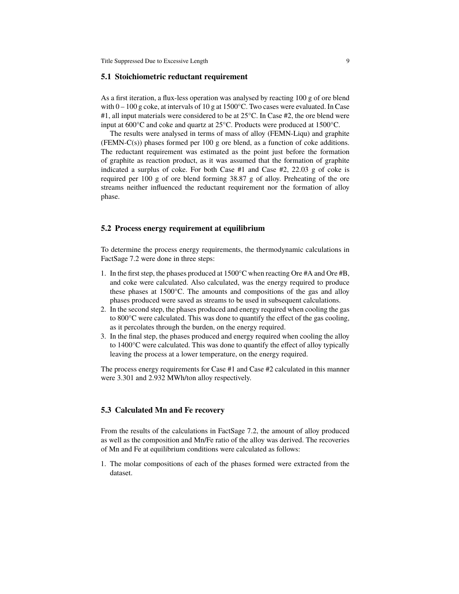#### **5.1 Stoichiometric reductant requirement**

As a first iteration, a flux-less operation was analysed by reacting 100 g of ore blend with  $0 - 100$  g coke, at intervals of 10 g at 1500°C. Two cases were evaluated. In Case #1, all input materials were considered to be at 25°C. In Case #2, the ore blend were input at 600°C and coke and quartz at 25°C. Products were produced at 1500°C.

The results were analysed in terms of mass of alloy (FEMN-Liqu) and graphite (FEMN-C(s)) phases formed per 100 g ore blend, as a function of coke additions. The reductant requirement was estimated as the point just before the formation of graphite as reaction product, as it was assumed that the formation of graphite indicated a surplus of coke. For both Case #1 and Case #2, 22.03 g of coke is required per 100 g of ore blend forming 38.87 g of alloy. Preheating of the ore streams neither influenced the reductant requirement nor the formation of alloy phase.

#### **5.2 Process energy requirement at equilibrium**

To determine the process energy requirements, the thermodynamic calculations in FactSage 7.2 were done in three steps:

- 1. In the first step, the phases produced at 1500°C when reacting Ore #A and Ore #B, and coke were calculated. Also calculated, was the energy required to produce these phases at 1500°C. The amounts and compositions of the gas and alloy phases produced were saved as streams to be used in subsequent calculations.
- 2. In the second step, the phases produced and energy required when cooling the gas to 800°C were calculated. This was done to quantify the effect of the gas cooling, as it percolates through the burden, on the energy required.
- 3. In the final step, the phases produced and energy required when cooling the alloy to 1400°C were calculated. This was done to quantify the effect of alloy typically leaving the process at a lower temperature, on the energy required.

The process energy requirements for Case #1 and Case #2 calculated in this manner were 3.301 and 2.932 MWh/ton alloy respectively.

#### **5.3 Calculated Mn and Fe recovery**

From the results of the calculations in FactSage 7.2, the amount of alloy produced as well as the composition and Mn/Fe ratio of the alloy was derived. The recoveries of Mn and Fe at equilibrium conditions were calculated as follows:

1. The molar compositions of each of the phases formed were extracted from the dataset.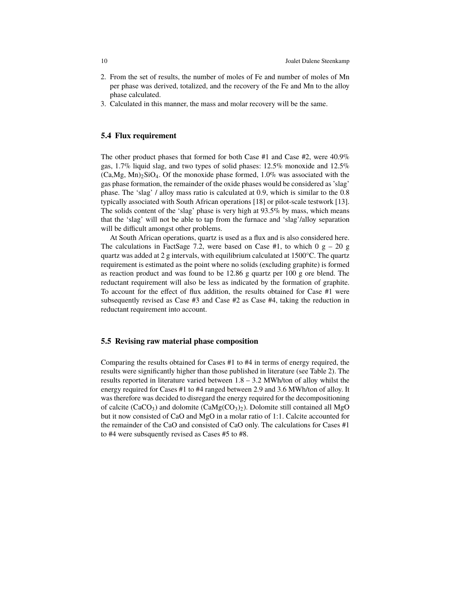- 2. From the set of results, the number of moles of Fe and number of moles of Mn per phase was derived, totalized, and the recovery of the Fe and Mn to the alloy phase calculated.
- 3. Calculated in this manner, the mass and molar recovery will be the same.

### **5.4 Flux requirement**

The other product phases that formed for both Case #1 and Case #2, were 40.9% gas, 1.7% liquid slag, and two types of solid phases: 12.5% monoxide and 12.5%  $(Ca, Mg, Mn)<sub>2</sub>SiO<sub>4</sub>$ . Of the monoxide phase formed, 1.0% was associated with the gas phase formation, the remainder of the oxide phases would be considered as 'slag' phase. The 'slag' / alloy mass ratio is calculated at 0.9, which is similar to the 0.8 typically associated with South African operations [18] or pilot-scale testwork [13]. The solids content of the 'slag' phase is very high at 93.5% by mass, which means that the 'slag' will not be able to tap from the furnace and 'slag'/alloy separation will be difficult amongst other problems.

At South African operations, quartz is used as a flux and is also considered here. The calculations in FactSage 7.2, were based on Case #1, to which  $0 \text{ g} - 20 \text{ g}$ quartz was added at 2 g intervals, with equilibrium calculated at 1500°C. The quartz requirement is estimated as the point where no solids (excluding graphite) is formed as reaction product and was found to be 12.86 g quartz per 100 g ore blend. The reductant requirement will also be less as indicated by the formation of graphite. To account for the effect of flux addition, the results obtained for Case #1 were subsequently revised as Case #3 and Case #2 as Case #4, taking the reduction in reductant requirement into account.

#### **5.5 Revising raw material phase composition**

Comparing the results obtained for Cases #1 to #4 in terms of energy required, the results were significantly higher than those published in literature (see Table 2). The results reported in literature varied between 1.8 – 3.2 MWh/ton of alloy whilst the energy required for Cases #1 to #4 ranged between 2.9 and 3.6 MWh/ton of alloy. It was therefore was decided to disregard the energy required for the decompositioning of calcite (CaCO<sub>3</sub>) and dolomite (CaMg(CO<sub>3</sub>)<sub>2</sub>). Dolomite still contained all MgO but it now consisted of CaO and MgO in a molar ratio of 1:1. Calcite accounted for the remainder of the CaO and consisted of CaO only. The calculations for Cases #1 to #4 were subsquently revised as Cases #5 to #8.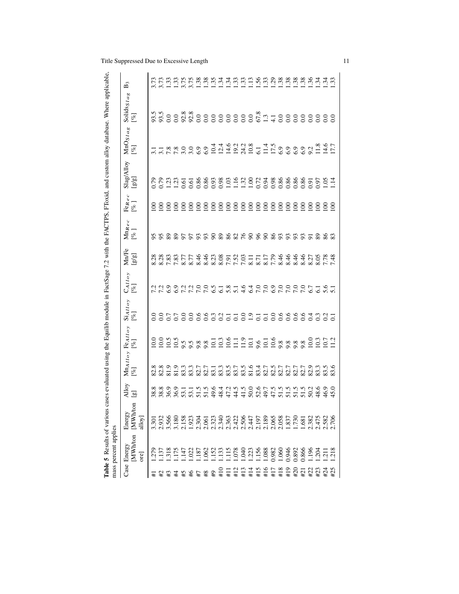|                                                                                                                                                   | Table 5 Results of various<br>mass percent applies |                                 |                      |                 |                                   |                                                                                           |                           |                            |                                     |                    |                                  |                                                                                                       | cases evaluated using the Equilib module in FactSage 7.2 with the FACTPS, FToxid, and custom alloy database. Where applicable, |                                  |
|---------------------------------------------------------------------------------------------------------------------------------------------------|----------------------------------------------------|---------------------------------|----------------------|-----------------|-----------------------------------|-------------------------------------------------------------------------------------------|---------------------------|----------------------------|-------------------------------------|--------------------|----------------------------------|-------------------------------------------------------------------------------------------------------|--------------------------------------------------------------------------------------------------------------------------------|----------------------------------|
| Case                                                                                                                                              | <b>MWh/ton</b><br>Energy<br>ore                    | ⊟<br>MWh/to<br>Energy<br>alloy] | Alloy<br>$\boxed{g}$ | $[\mathcal{R}]$ | MnAlloy Fealloy<br>$[\mathbb{Z}]$ | $\operatorname{Si}_{Alloy}$<br>$\begin{bmatrix} \mathcal{A} \\ \mathcal{B} \end{bmatrix}$ | $\frac{C_{AI o y}}{[\%]}$ | Mn/Fe<br>g/g               | $\frac{\text{Mn}_\text{Rec}}{[\%]}$ | Fe $_{Rec}$<br>[%] | Slag/Alloy<br>$[g/\overline{g}]$ | $MnOS$ $aS$<br>$[\%]$                                                                                 | Solids y a g                                                                                                                   | B3                               |
| $\pm$                                                                                                                                             | 279                                                | 3.301                           |                      |                 |                                   |                                                                                           |                           |                            |                                     | S                  |                                  |                                                                                                       |                                                                                                                                |                                  |
|                                                                                                                                                   | .137                                               |                                 |                      |                 |                                   |                                                                                           |                           | 8.383<br>8.383<br>7.39     | X X                                 | $\mathbf{S}$       | 0.79<br>0.79                     | 11 11 20 20 20 20 30 4 4 50 21 22 30 10 11 22 30 20 30 21 21 21 21 21 21 21 21 22 22 23 24 25 26 27 2 |                                                                                                                                | 3.73<br>3.73                     |
|                                                                                                                                                   |                                                    |                                 |                      |                 |                                   |                                                                                           |                           |                            |                                     | 88                 |                                  |                                                                                                       |                                                                                                                                |                                  |
|                                                                                                                                                   |                                                    |                                 |                      |                 |                                   |                                                                                           |                           |                            |                                     |                    |                                  |                                                                                                       |                                                                                                                                |                                  |
|                                                                                                                                                   |                                                    |                                 |                      |                 |                                   |                                                                                           |                           | 8.77<br>8.8<br>8.8         | 22555335222                         | $\overline{8}$     |                                  |                                                                                                       |                                                                                                                                |                                  |
|                                                                                                                                                   |                                                    |                                 |                      |                 |                                   |                                                                                           | 7 7 1<br>7 7 1 1          |                            |                                     | $\overline{8}$     |                                  |                                                                                                       |                                                                                                                                |                                  |
|                                                                                                                                                   |                                                    |                                 |                      |                 |                                   |                                                                                           |                           |                            |                                     | $\overline{6}$     |                                  |                                                                                                       |                                                                                                                                |                                  |
|                                                                                                                                                   |                                                    |                                 |                      |                 |                                   |                                                                                           | 7.5                       |                            |                                     | $\geq$             |                                  |                                                                                                       |                                                                                                                                |                                  |
| $\overline{4}$                                                                                                                                    |                                                    |                                 |                      |                 |                                   |                                                                                           |                           | 23<br>235525777<br>2367778 |                                     | $rac{8}{2}$        |                                  |                                                                                                       |                                                                                                                                |                                  |
| #10                                                                                                                                               |                                                    |                                 |                      |                 |                                   |                                                                                           | $\overline{61}$           |                            |                                     |                    |                                  |                                                                                                       |                                                                                                                                |                                  |
| $\frac{11}{11}$                                                                                                                                   |                                                    |                                 |                      |                 |                                   | $\overline{5}$                                                                            | $\frac{8}{5}$ .           |                            |                                     | $\geq$             |                                  |                                                                                                       |                                                                                                                                | $\frac{54}{3}$                   |
| $\begin{array}{c}\n\text{#} \quad 11 \quad 7 \\ \text{#} \quad 11 \quad 7 \\ \text{#} \quad 11 \quad 6 \\ \text{#} \quad 11 \quad 6\n\end{array}$ |                                                    |                                 |                      |                 |                                   |                                                                                           |                           |                            |                                     | 100                |                                  |                                                                                                       |                                                                                                                                | $\frac{33}{2}$                   |
|                                                                                                                                                   |                                                    |                                 |                      |                 |                                   | $\overline{0}$ .                                                                          | $\frac{6}{4}$             |                            |                                     | $\geq$             |                                  |                                                                                                       |                                                                                                                                |                                  |
|                                                                                                                                                   |                                                    |                                 |                      |                 |                                   | $\frac{0}{2}$ .                                                                           |                           |                            |                                     | $rac{8}{2}$        |                                  |                                                                                                       |                                                                                                                                |                                  |
|                                                                                                                                                   |                                                    |                                 |                      |                 |                                   |                                                                                           | 3<br>19999999558          |                            | 888888888522                        |                    |                                  |                                                                                                       |                                                                                                                                | $\ddot{a}$ $\ddot{a}$ $\ddot{a}$ |
|                                                                                                                                                   |                                                    |                                 |                      |                 |                                   | $\overline{0}$ .                                                                          |                           |                            |                                     | $\geq$             |                                  |                                                                                                       |                                                                                                                                |                                  |
| $+17$                                                                                                                                             |                                                    |                                 |                      |                 |                                   | 0.6                                                                                       |                           |                            |                                     | $\overline{5}$     |                                  |                                                                                                       |                                                                                                                                | $\frac{23}{13}$                  |
| #18                                                                                                                                               |                                                    |                                 |                      |                 |                                   |                                                                                           |                           |                            |                                     | $\geq$             |                                  |                                                                                                       |                                                                                                                                |                                  |
| #19                                                                                                                                               |                                                    |                                 |                      |                 |                                   | 0.66                                                                                      |                           | 544444<br>58888            |                                     | $\geq$             |                                  |                                                                                                       |                                                                                                                                | $\frac{38}{2}$                   |
| $+20$                                                                                                                                             |                                                    |                                 |                      |                 |                                   |                                                                                           |                           |                            |                                     | $\overline{8}$     |                                  |                                                                                                       |                                                                                                                                | $\ddot{38}$                      |
| $\overline{121}$                                                                                                                                  |                                                    |                                 |                      |                 |                                   |                                                                                           |                           |                            |                                     | $\overline{8}$     |                                  |                                                                                                       |                                                                                                                                | $\ddot{38}$                      |
| #22                                                                                                                                               | .196                                               |                                 |                      |                 |                                   | 3.30                                                                                      |                           | 8.27                       |                                     | $\overline{8}$     |                                  |                                                                                                       |                                                                                                                                | $\ddot{\mathcal{E}}$             |
| #23                                                                                                                                               | $rac{3}{211}$                                      |                                 |                      |                 |                                   |                                                                                           |                           |                            |                                     | $\overline{8}$     |                                  |                                                                                                       |                                                                                                                                |                                  |
| #24                                                                                                                                               |                                                    |                                 |                      |                 |                                   |                                                                                           |                           | $\frac{8.05}{7.48}$        |                                     | $\overline{8}$     |                                  |                                                                                                       |                                                                                                                                | $\mathbb{R}^d$                   |
| #25                                                                                                                                               | .218                                               |                                 |                      |                 |                                   |                                                                                           |                           |                            | S3                                  | $\epsilon$         |                                  |                                                                                                       |                                                                                                                                | $\ddot{3}$                       |

Title Suppressed Due to Excessive Length 11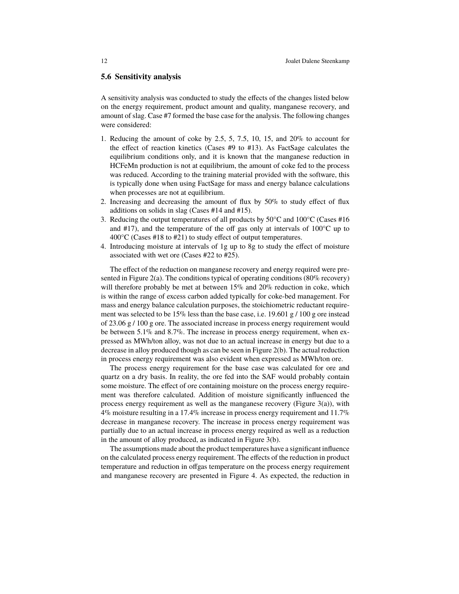#### **5.6 Sensitivity analysis**

A sensitivity analysis was conducted to study the effects of the changes listed below on the energy requirement, product amount and quality, manganese recovery, and amount of slag. Case #7 formed the base case for the analysis. The following changes were considered:

- 1. Reducing the amount of coke by 2.5, 5, 7.5, 10, 15, and 20% to account for the effect of reaction kinetics (Cases #9 to #13). As FactSage calculates the equilibrium conditions only, and it is known that the manganese reduction in HCFeMn production is not at equilibrium, the amount of coke fed to the process was reduced. According to the training material provided with the software, this is typically done when using FactSage for mass and energy balance calculations when processes are not at equilibrium.
- 2. Increasing and decreasing the amount of flux by 50% to study effect of flux additions on solids in slag (Cases #14 and #15).
- 3. Reducing the output temperatures of all products by  $50^{\circ}$ C and  $100^{\circ}$ C (Cases #16 and  $#17$ ), and the temperature of the off gas only at intervals of  $100^{\circ}$ C up to  $400^{\circ}$ C (Cases #18 to #21) to study effect of output temperatures.
- 4. Introducing moisture at intervals of 1g up to 8g to study the effect of moisture associated with wet ore (Cases #22 to #25).

The effect of the reduction on manganese recovery and energy required were presented in Figure 2(a). The conditions typical of operating conditions (80% recovery) will therefore probably be met at between  $15\%$  and  $20\%$  reduction in coke, which is within the range of excess carbon added typically for coke-bed management. For mass and energy balance calculation purposes, the stoichiometric reductant requirement was selected to be  $15\%$  less than the base case, i.e. 19.601 g / 100 g ore instead of 23.06  $g / 100 g$  ore. The associated increase in process energy requirement would be between 5.1% and 8.7%. The increase in process energy requirement, when expressed as MWh/ton alloy, was not due to an actual increase in energy but due to a decrease in alloy produced though as can be seen in Figure 2(b). The actual reduction in process energy requirement was also evident when expressed as MWh/ton ore.

The process energy requirement for the base case was calculated for ore and quartz on a dry basis. In reality, the ore fed into the SAF would probably contain some moisture. The effect of ore containing moisture on the process energy requirement was therefore calculated. Addition of moisture significantly influenced the process energy requirement as well as the manganese recovery (Figure 3(a)), with 4% moisture resulting in a 17.4% increase in process energy requirement and 11.7% decrease in manganese recovery. The increase in process energy requirement was partially due to an actual increase in process energy required as well as a reduction in the amount of alloy produced, as indicated in Figure 3(b).

The assumptions made about the product temperatures have a significant influence on the calculated process energy requirement. The effects of the reduction in product temperature and reduction in offgas temperature on the process energy requirement and manganese recovery are presented in Figure 4. As expected, the reduction in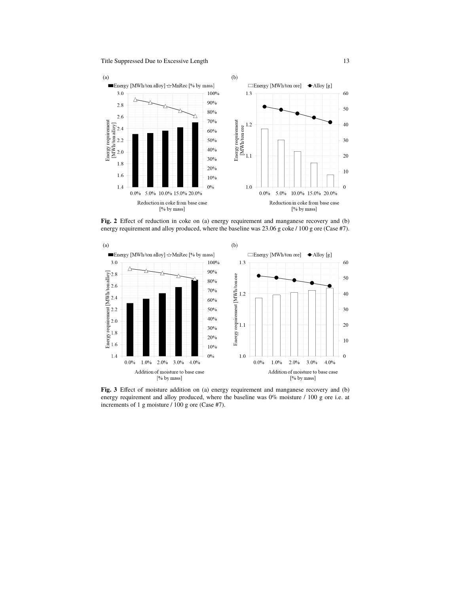

**Fig. 2** Effect of reduction in coke on (a) energy requirement and manganese recovery and (b) energy requirement and alloy produced, where the baseline was 23.06 g coke / 100 g ore (Case #7).



**Fig. 3** Effect of moisture addition on (a) energy requirement and manganese recovery and (b) energy requirement and alloy produced, where the baseline was  $0\%$  moisture  $/100$  g ore i.e. at increments of 1 g moisture / 100 g ore (Case #7).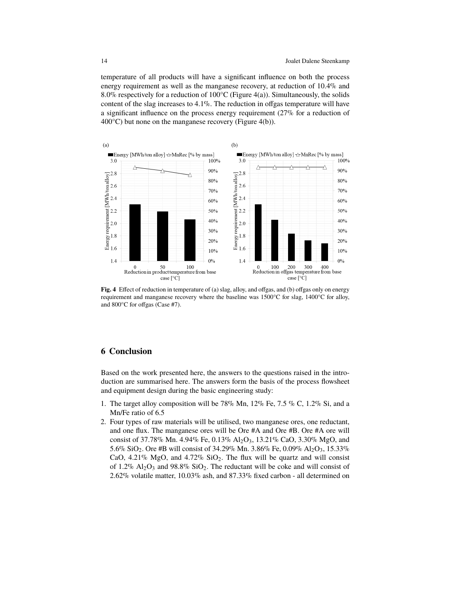temperature of all products will have a significant influence on both the process energy requirement as well as the manganese recovery, at reduction of 10.4% and 8.0% respectively for a reduction of  $100^{\circ}$ C (Figure 4(a)). Simultaneously, the solids content of the slag increases to  $4.1\%$ . The reduction in offgas temperature will have a significant influence on the process energy requirement (27% for a reduction of 400°C) but none on the manganese recovery (Figure 4(b)).



**Fig. 4** Effect of reduction in temperature of (a) slag, alloy, and offgas, and (b) offgas only on energy requirement and manganese recovery where the baseline was 1500°C for slag, 1400°C for alloy, and 800°C for offgas (Case #7).

# **6 Conclusion**

Based on the work presented here, the answers to the questions raised in the introduction are summarised here. The answers form the basis of the process flowsheet and equipment design during the basic engineering study:

- 1. The target alloy composition will be 78% Mn, 12% Fe, 7.5 % C, 1.2% Si, and a Mn/Fe ratio of 6.5
- 2. Four types of raw materials will be utilised, two manganese ores, one reductant, and one flux. The manganese ores will be Ore #A and Ore #B. Ore #A ore will consist of 37.78% Mn. 4.94% Fe, 0.13% Al2O3, 13.21% CaO, 3.30% MgO, and 5.6% SiO<sub>2</sub>. Ore #B will consist of 34.29% Mn. 3.86% Fe, 0.09% Al<sub>2</sub>O<sub>3</sub>, 15.33% CaO,  $4.21\%$  MgO, and  $4.72\%$  SiO<sub>2</sub>. The flux will be quartz and will consist of 1.2%  $\mathrm{Al}_2\mathrm{O}_3$  and 98.8% SiO<sub>2</sub>. The reductant will be coke and will consist of 2.62% volatile matter, 10.03% ash, and 87.33% fixed carbon - all determined on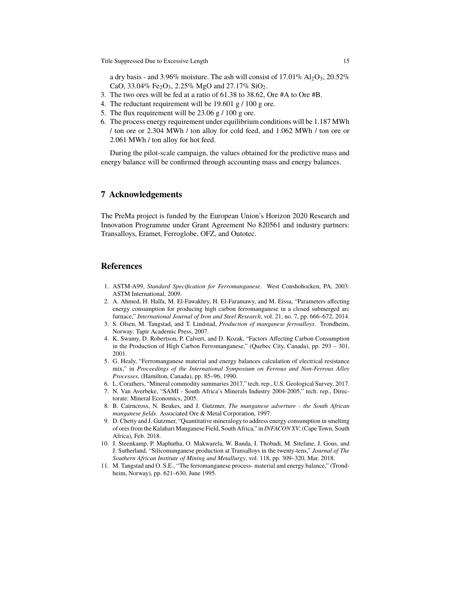a dry basis - and 3.96% moisture. The ash will consist of  $17.01\%$  Al<sub>2</sub>O<sub>3</sub>,  $20.52\%$ CaO, 33.04% Fe<sub>2</sub>O<sub>3</sub>, 2.25% MgO and 27.17% SiO<sub>2</sub>.

- 3. The two ores will be fed at a ratio of 61.38 to 38.62, Ore #A to Ore #B.
- 4. The reductant requirement will be  $19.601$  g  $/ 100$  g ore.
- 5. The flux requirement will be  $23.06 \text{ g} / 100 \text{ g}$  ore.
- 6. The process energy requirement under equilibrium conditions will be 1.187 MWh / ton ore or 2.304 MWh / ton alloy for cold feed, and 1.062 MWh / ton ore or 2.061 MWh / ton alloy for hot feed.

During the pilot-scale campaign, the values obtained for the predictive mass and energy balance will be confirmed through accounting mass and energy balances.

## **7 Acknowledgements**

The PreMa project is funded by the European Union's Horizon 2020 Research and Innovation Programme under Grant Agreement No 820561 and industry partners: Transalloys, Eramet, Ferroglobe, OFZ, and Outotec.

#### **References**

- 1. ASTM-A99, *Standard Specification for Ferromanganese*. West Conshohocken, PA, 2003: ASTM International, 2009.
- 2. A. Ahmed, H. Halfa, M. El-Fawakhry, H. El-Faramawy, and M. Eissa, "Parameters affecting energy consumption for producing high carbon ferromanganese in a closed submerged arc furnace," *International Journal of Iron and Steel Research*, vol. 21, no. 7, pp. 666–672, 2014.
- 3. S. Olsen, M. Tangstad, and T. Lindstad, *Production of manganese ferroalloys*. Trondheim, Norway: Tapir Academic Press, 2007.
- 4. K. Swamy, D. Robertson, P. Calvert, and D. Kozak, "Factors Affecting Carbon Consumption in the Production of High Carbon Ferromanganese," (Quebec City, Canada), pp. 293 – 301, 2001.
- 5. G. Healy, "Ferromanganese material and energy balances calculation of electrical resistance mix," in *Proceedings of the International Symposium on Ferrous and Non-Ferrous Alloy Processes*, (Hamilton, Canada), pp. 85–96, 1990.
- 6. L. Corathers, "Mineral commodity summaries 2017," tech. rep., U.S. Geological Survey, 2017.
- 7. N. Van Averbeke, "SAMI South Africa's Minerals Industry 2004-2005," tech. rep., Directorate: Mineral Economics, 2005.
- 8. B. Cairncross, N. Beukes, and J. Gutzmer, *The manganese adverture the South African manganese fields*. Associated Ore & Metal Corporation, 1997.
- 9. D. Chetty and J. Gutzmer, "Quantitative mineralogy to address energy consumption in smelting of ores from the Kalahari Manganese Field, South Africa," in *INFACON XV*, (Cape Town, South Africa), Feb. 2018.
- 10. J. Steenkamp, P. Maphutha, O. Makwarela, W. Banda, I. Thobadi, M. Sitefane, J. Gous, and J. Sutherland, "Silicomanganese production at Transalloys in the twenty-tens," *Journal of The Southern African Institute of Mining and Metallurgy*, vol. 118, pp. 309–320, Mar. 2018.
- 11. M. Tangstad and O. S.E., "The ferromanganese process- material and energy balance," (Trondheim, Norway), pp. 621–630, June 1995.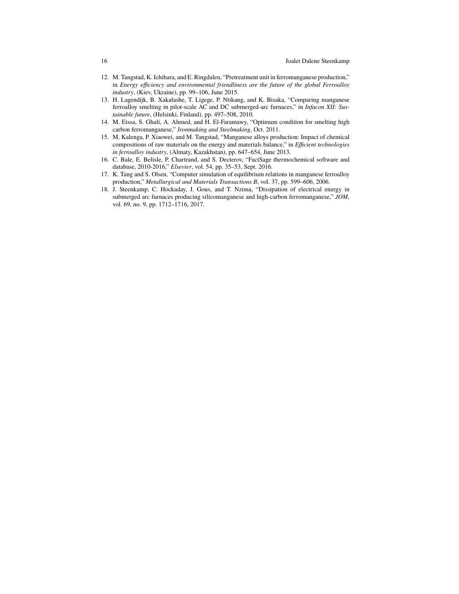- 12. M. Tangstad, K. Ichihara, and E. Ringdalen, "Pretreatment unit in ferromanganese production," in *Energy efficiency and environmental friendliness are the future of the global Ferroalloy industry*, (Kiev, Ukraine), pp. 99–106, June 2015.
- 13. H. Lagendijk, B. Xakalashe, T. Ligege, P. Ntikang, and K. Bisaka, "Comparing manganese ferroalloy smelting in pilot-scale AC and DC submerged-arc furnaces," in *Infacon XII: Sustainable future*, (Helsinki, Finland), pp. 497–508, 2010.
- 14. M. Eissa, S. Ghali, A. Ahmed, and H. El-Faramawy, "Optimum condition for smelting high carbon ferromanganese," *Ironmaking and Steelmaking*, Oct. 2011.
- 15. M. Kalenga, P. Xiaowei, and M. Tangstad, "Manganese alloys production: Impact of chemical compositions of raw materials on the energy and materials balance," in *Efficient technologies in ferroalloy industry*, (Almaty, Kazakhstan), pp. 647–654, June 2013.
- 16. C. Bale, E. Belisle, P. Chartrand, and S. Decterov, "FactSage thermochemical software and database, 2010-2016," *Elsevier*, vol. 54, pp. 35–53, Sept. 2016.
- 17. K. Tang and S. Olsen, "Computer simulation of equilibrium relations in manganese ferroalloy production," *Metallurgical and Materials Transactions B*, vol. 37, pp. 599–606, 2006.
- 18. J. Steenkamp, C. Hockaday, J. Gous, and T. Nzima, "Dissipation of electrical energy in submerged arc furnaces producing silicomanganese and high-carbon ferromanganese," *JOM*, vol. 69, no. 9, pp. 1712–1716, 2017.